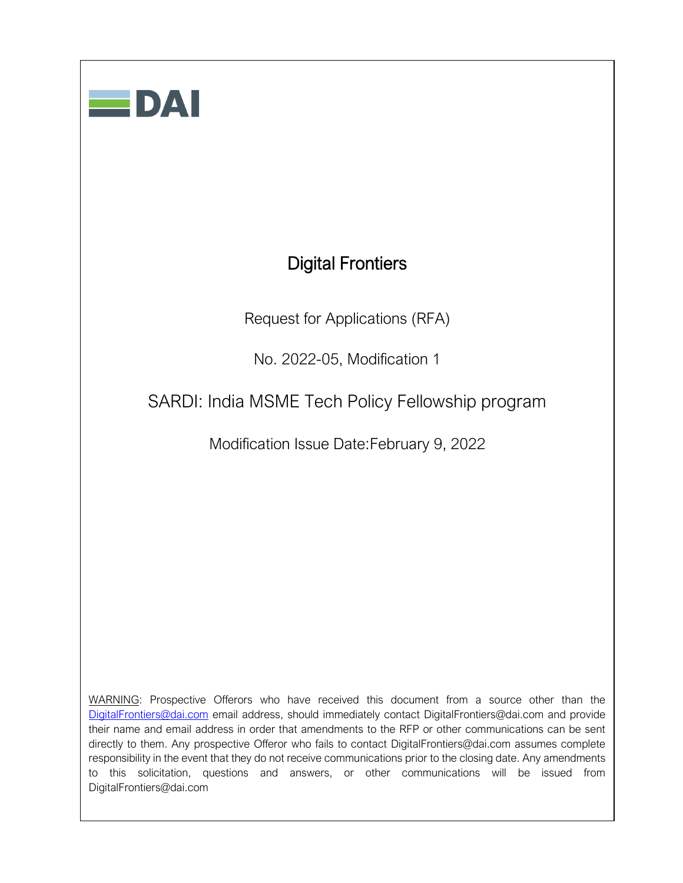# Digital Frontiers

Request for Applications (RFA)

No. 2022-05, Modification 1

SARDI: India MSME Tech Policy Fellowship program

Modification Issue Date:February 9, 2022

WARNING: Prospective Offerors who have received this document from a source other than the [DigitalFrontiers@dai.com](mailto:DigitalFrontiers@dai.com) email address, should immediately contact DigitalFrontiers@dai.com and provide their name and email address in order that amendments to the RFP or other communications can be sent directly to them. Any prospective Offeror who fails to contact DigitalFrontiers@dai.com assumes complete responsibility in the event that they do not receive communications prior to the closing date. Any amendments to this solicitation, questions and answers, or other communications will be issued from DigitalFrontiers@dai.com